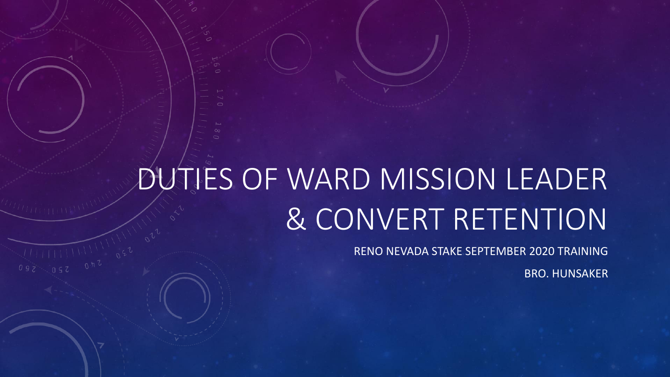# DUTIES OF WARD MISSION LEADER & CONVERT RETENTION

RENO NEVADA STAKE SEPTEMBER 2020 TRAINING

BRO. HUNSAKER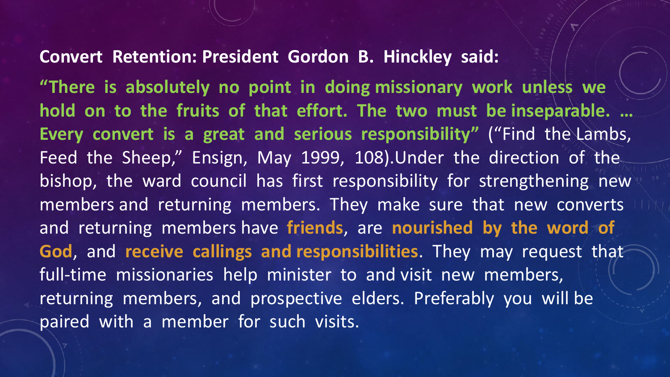#### **Convert Retention: President Gordon B. Hinckley said:**

**"There is absolutely no point in doing missionary work unless we hold on to the fruits of that effort. The two must be inseparable. … Every convert is a great and serious responsibility"** ("Find the Lambs, Feed the Sheep," Ensign, May 1999, 108).Under the direction of the bishop, the ward council has first responsibility for strengthening new members and returning members. They make sure that new converts and returning members have **friends**, are **nourished by the word of God**, and **receive callings and responsibilities**. They may request that full-time missionaries help minister to and visit new members, returning members, and prospective elders. Preferably you will be paired with a member for such visits.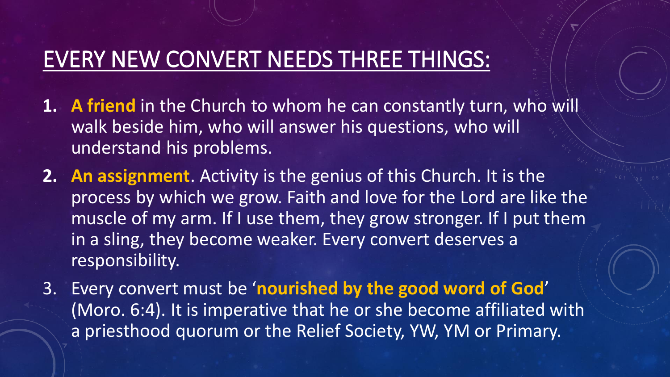## EVERY NEW CONVERT NEEDS THREE THINGS:

- **1. A friend** in the Church to whom he can constantly turn, who will walk beside him, who will answer his questions, who will understand his problems.
- **2. An assignment**. Activity is the genius of this Church. It is the process by which we grow. Faith and love for the Lord are like the muscle of my arm. If I use them, they grow stronger. If I put them in a sling, they become weaker. Every convert deserves a responsibility.
- 3. Every convert must be '**nourished by the good word of God**' (Moro. 6:4). It is imperative that he or she become affiliated with a priesthood quorum or the Relief Society, YW, YM or Primary.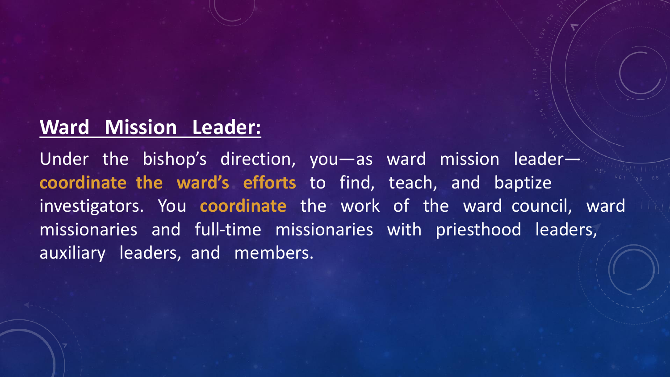## **Ward Mission Leader:**

Under the bishop's direction, you—as ward mission leader **coordinate the ward's efforts** to find, teach, and baptize investigators. You **coordinate** the work of the ward council, ward missionaries and full-time missionaries with priesthood leaders, auxiliary leaders, and members.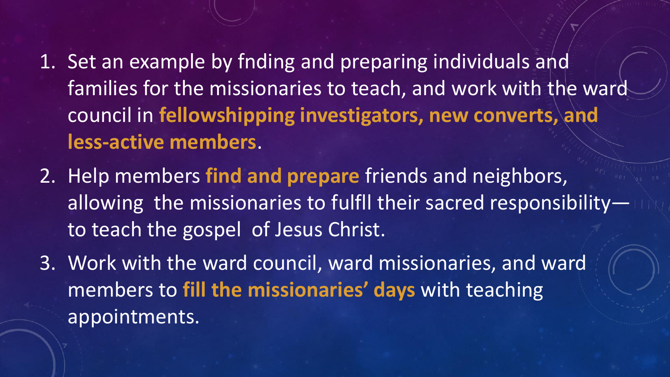- 1. Set an example by fnding and preparing individuals and families for the missionaries to teach, and work with the ward council in **fellowshipping investigators, new converts, and less-active members**.
- 2. Help members **find and prepare** friends and neighbors, allowing the missionaries to fulfll their sacred responsibility to teach the gospel of Jesus Christ.
- 3. Work with the ward council, ward missionaries, and ward members to **fill the missionaries' days** with teaching appointments.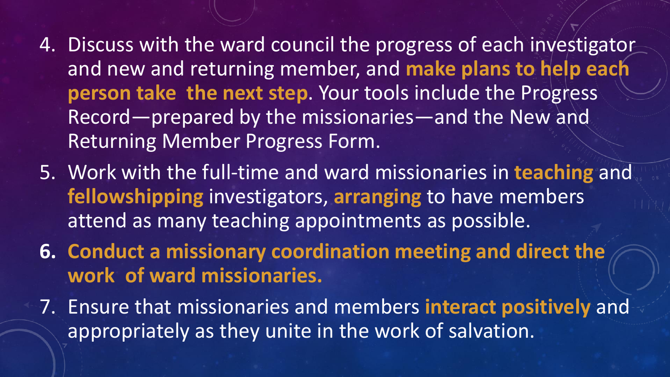- 4. Discuss with the ward council the progress of each investigator and new and returning member, and **make plans to help each person take the next step**. Your tools include the Progress Record—prepared by the missionaries—and the New and Returning Member Progress Form.
- 5. Work with the full-time and ward missionaries in **teaching** and **fellowshipping** investigators, **arranging** to have members attend as many teaching appointments as possible.
- **6. Conduct a missionary coordination meeting and direct the work of ward missionaries.**
- 7. Ensure that missionaries and members **interact positively** and appropriately as they unite in the work of salvation.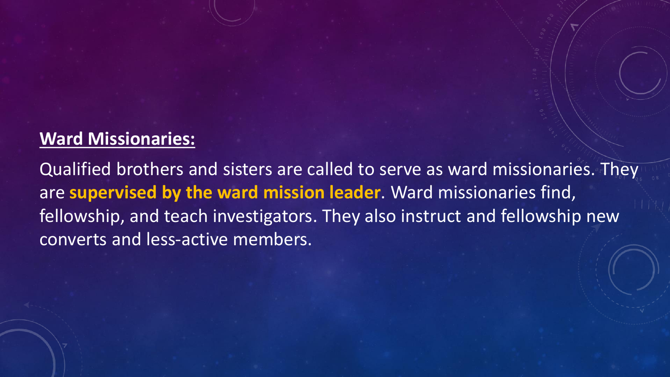### **Ward Missionaries:**

Qualified brothers and sisters are called to serve as ward missionaries. They are **supervised by the ward mission leader**. Ward missionaries find, fellowship, and teach investigators. They also instruct and fellowship new converts and less-active members.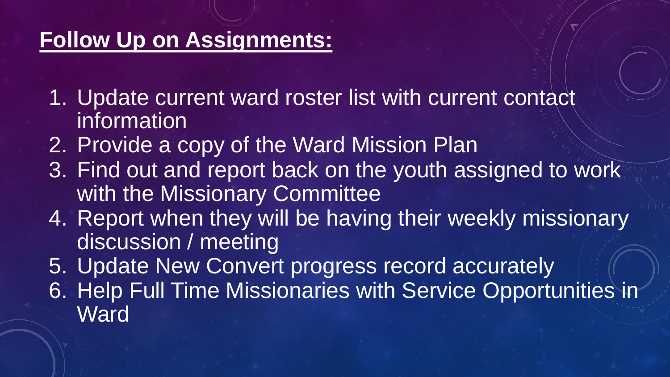## **Follow Up on Assignments:**

- 1. Update current ward roster list with current contact information
- 2. Provide a copy of the Ward Mission Plan
- 3. Find out and report back on the youth assigned to work with the Missionary Committee
- 4. Report when they will be having their weekly missionary discussion / meeting
- 5. Update New Convert progress record accurately 6. Help Full Time Missionaries with Service Opportunities in **Ward**